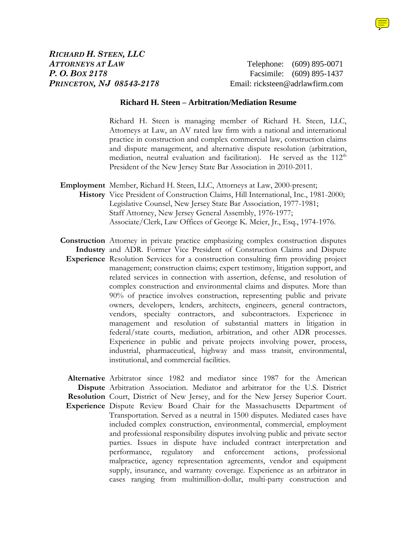

*P. O. BOX 2178* Facsimile: (609) 895-1437 *PRINCETON, NJ 08543-2178* Email: ricksteen@adrlawfirm.com

## **Richard H. Steen – Arbitration/Mediation Resume**

Richard H. Steen is managing member of Richard H. Steen, LLC, Attorneys at Law, an AV rated law firm with a national and international practice in construction and complex commercial law, construction claims and dispute management, and alternative dispute resolution (arbitration, mediation, neutral evaluation and facilitation). He served as the  $112<sup>th</sup>$ President of the New Jersey State Bar Association in 2010-2011.

- **Employment**  Member, Richard H. Steen, LLC, Attorneys at Law, 2000-present; **History**  Vice President of Construction Claims, Hill International, Inc., 1981-2000; Legislative Counsel, New Jersey State Bar Association, 1977-1981; Staff Attorney, New Jersey General Assembly, 1976-1977; Associate/Clerk, Law Offices of George K. Meier, Jr., Esq., 1974-1976.
- **Construction** Attorney in private practice emphasizing complex construction disputes **Industry** and ADR. Former Vice President of Construction Claims and Dispute **Experience**  Resolution Services for a construction consulting firm providing project management; construction claims; expert testimony, litigation support, and related services in connection with assertion, defense, and resolution of complex construction and environmental claims and disputes. More than 90% of practice involves construction, representing public and private owners, developers, lenders, architects, engineers, general contractors, vendors, specialty contractors, and subcontractors. Experience in management and resolution of substantial matters in litigation in federal/state courts, mediation, arbitration, and other ADR processes. Experience in public and private projects involving power, process, industrial, pharmaceutical, highway and mass transit, environmental, institutional, and commercial facilities.

**Alternative**  Arbitrator since 1982 and mediator since 1987 for the American **Dispute**  Arbitration Association. Mediator and arbitrator for the U.S. District **Resolution**  Court, District of New Jersey, and for the New Jersey Superior Court. **Experience** Dispute Review Board Chair for the Massachusetts Department of Transportation. Served as a neutral in 1500 disputes. Mediated cases have included complex construction, environmental, commercial, employment and professional responsibility disputes involving public and private sector parties. Issues in dispute have included contract interpretation and performance, regulatory and enforcement actions, professional malpractice, agency representation agreements, vendor and equipment supply, insurance, and warranty coverage. Experience as an arbitrator in cases ranging from multimillion-dollar, multi-party construction and